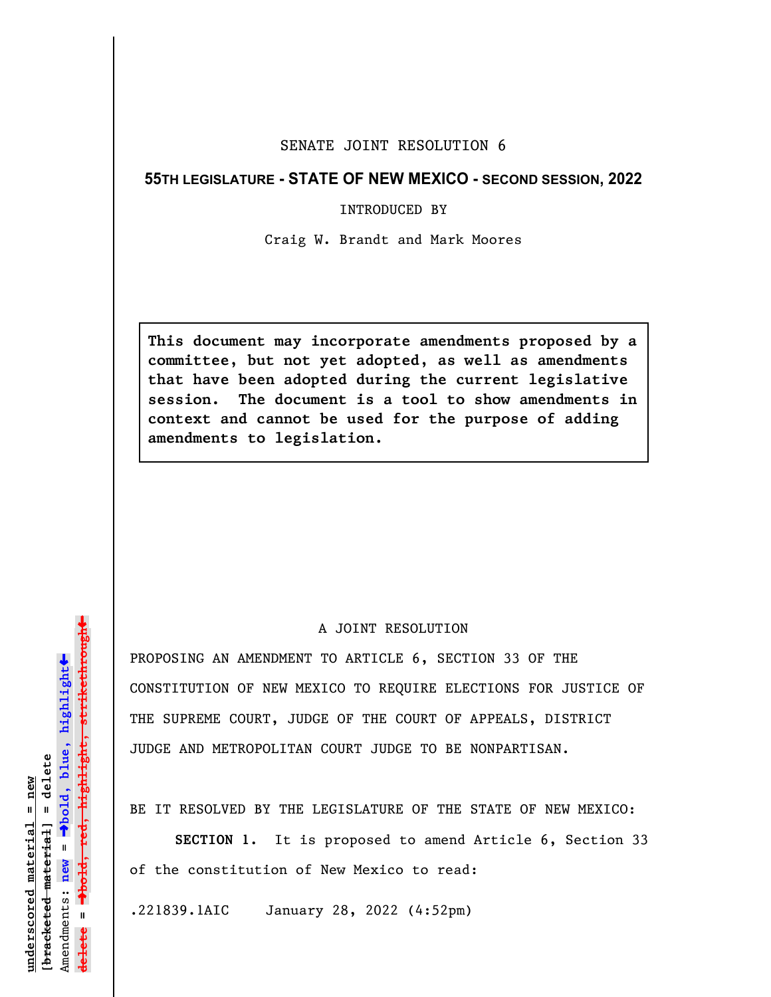## SENATE JOINT RESOLUTION 6

## **55TH LEGISLATURE - STATE OF NEW MEXICO - SECOND SESSION, 2022**

## INTRODUCED BY

Craig W. Brandt and Mark Moores

**This document may incorporate amendments proposed by a committee, but not yet adopted, as well as amendments that have been adopted during the current legislative session. The document is a tool to show amendments in context and cannot be used for the purpose of adding amendments to legislation.**

## A JOINT RESOLUTION

PROPOSING AN AMENDMENT TO ARTICLE 6, SECTION 33 OF THE CONSTITUTION OF NEW MEXICO TO REQUIRE ELECTIONS FOR JUSTICE OF THE SUPREME COURT, JUDGE OF THE COURT OF APPEALS, DISTRICT JUDGE AND METROPOLITAN COURT JUDGE TO BE NONPARTISAN.

BE IT RESOLVED BY THE LEGISLATURE OF THE STATE OF NEW MEXICO:

**SECTION 1.** It is proposed to amend Article 6, Section 33 of the constitution of New Mexico to read:

.221839.1AIC January 28, 2022 (4:52pm)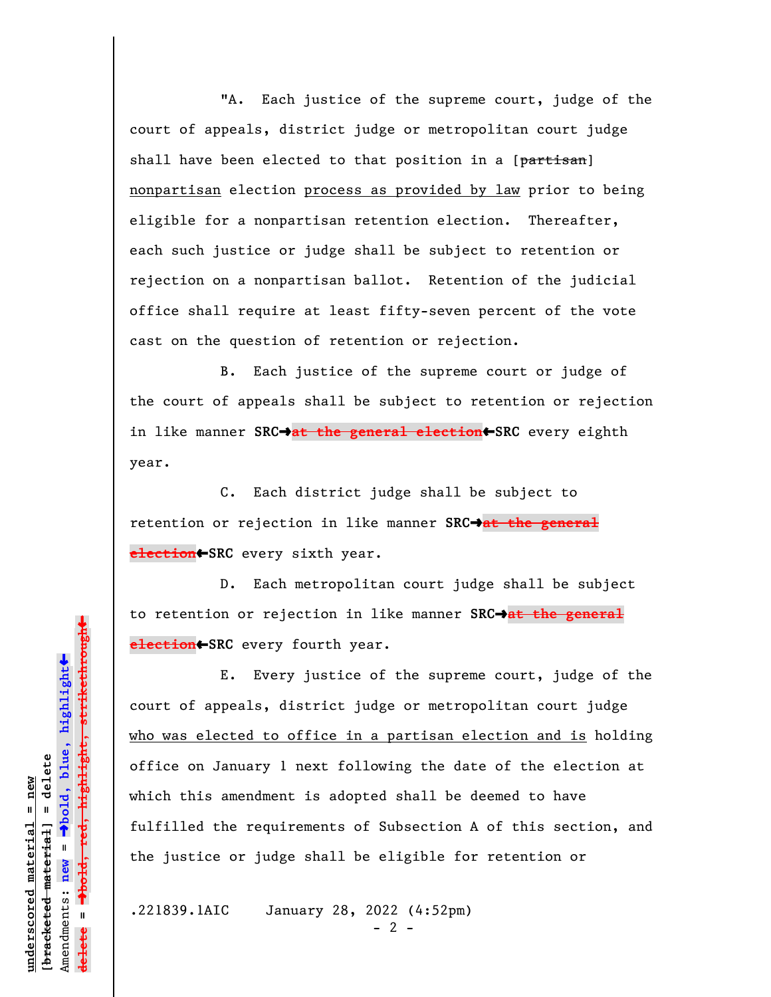"A. Each justice of the supreme court, judge of the court of appeals, district judge or metropolitan court judge shall have been elected to that position in a [partisan] nonpartisan election process as provided by law prior to being eligible for a nonpartisan retention election. Thereafter, each such justice or judge shall be subject to retention or rejection on a nonpartisan ballot. Retention of the judicial office shall require at least fifty-seven percent of the vote cast on the question of retention or rejection.

B. Each justice of the supreme court or judge of the court of appeals shall be subject to retention or rejection in like manner SRC $\rightarrow$ at the general election<>SRC every eighth year.

C. Each district judge shall be subject to retention or rejection in like manner SRC<sup>+</sup>at the general **election**»**SRC** every sixth year.

D. Each metropolitan court judge shall be subject to retention or rejection in like manner **SRC**º**at the general election**»**SRC** every fourth year.

E. Every justice of the supreme court, judge of the court of appeals, district judge or metropolitan court judge who was elected to office in a partisan election and is holding office on January 1 next following the date of the election at which this amendment is adopted shall be deemed to have fulfilled the requirements of Subsection A of this section, and the justice or judge shall be eligible for retention or

.221839.1AIC January 28, 2022 (4:52pm)